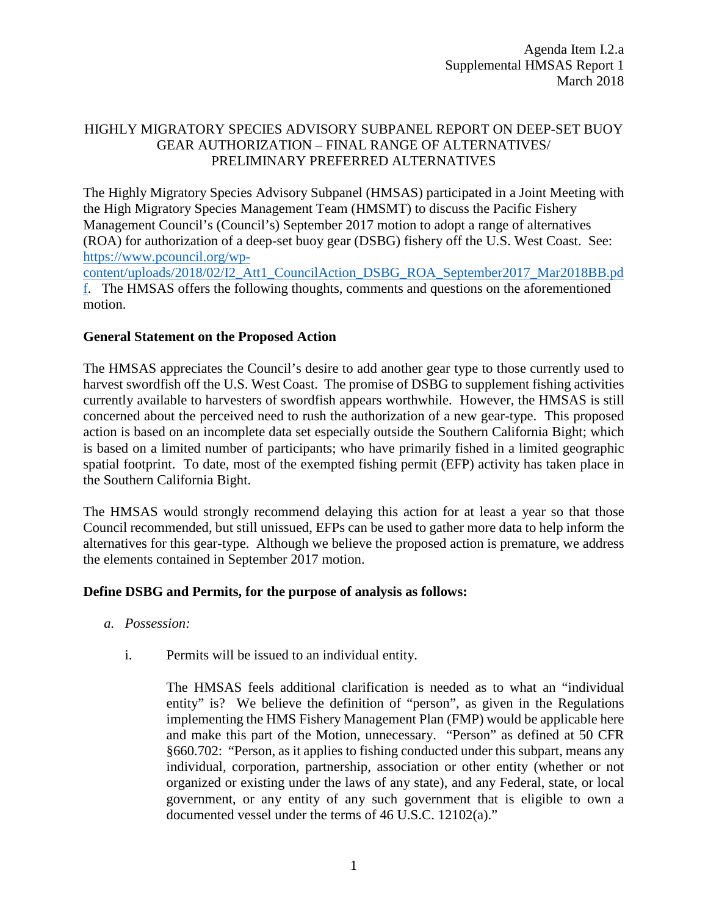# HIGHLY MIGRATORY SPECIES ADVISORY SUBPANEL REPORT ON DEEP-SET BUOY GEAR AUTHORIZATION – FINAL RANGE OF ALTERNATIVES/ PRELIMINARY PREFERRED ALTERNATIVES

The Highly Migratory Species Advisory Subpanel (HMSAS) participated in a Joint Meeting with the High Migratory Species Management Team (HMSMT) to discuss the Pacific Fishery Management Council's (Council's) September 2017 motion to adopt a range of alternatives (ROA) for authorization of a deep-set buoy gear (DSBG) fishery off the U.S. West Coast. See: [https://www.pcouncil.org/wp-](https://www.pcouncil.org/wp-content/uploads/2018/02/I2_Att1_CouncilAction_DSBG_ROA_September2017_Mar2018BB.pdf)

[content/uploads/2018/02/I2\\_Att1\\_CouncilAction\\_DSBG\\_ROA\\_September2017\\_Mar2018BB.pd](https://www.pcouncil.org/wp-content/uploads/2018/02/I2_Att1_CouncilAction_DSBG_ROA_September2017_Mar2018BB.pdf) [f.](https://www.pcouncil.org/wp-content/uploads/2018/02/I2_Att1_CouncilAction_DSBG_ROA_September2017_Mar2018BB.pdf) The HMSAS offers the following thoughts, comments and questions on the aforementioned motion.

# **General Statement on the Proposed Action**

The HMSAS appreciates the Council's desire to add another gear type to those currently used to harvest swordfish off the U.S. West Coast. The promise of DSBG to supplement fishing activities currently available to harvesters of swordfish appears worthwhile. However, the HMSAS is still concerned about the perceived need to rush the authorization of a new gear-type. This proposed action is based on an incomplete data set especially outside the Southern California Bight; which is based on a limited number of participants; who have primarily fished in a limited geographic spatial footprint. To date, most of the exempted fishing permit (EFP) activity has taken place in the Southern California Bight.

The HMSAS would strongly recommend delaying this action for at least a year so that those Council recommended, but still unissued, EFPs can be used to gather more data to help inform the alternatives for this gear-type. Although we believe the proposed action is premature, we address the elements contained in September 2017 motion.

## **Define DSBG and Permits, for the purpose of analysis as follows:**

- *a. Possession:*
	- i. Permits will be issued to an individual entity.

The HMSAS feels additional clarification is needed as to what an "individual entity" is? We believe the definition of "person", as given in the Regulations implementing the HMS Fishery Management Plan (FMP) would be applicable here and make this part of the Motion, unnecessary. "Person" as defined at 50 CFR §660.702: "Person, as it applies to fishing conducted under this subpart, means any individual, corporation, partnership, association or other entity (whether or not organized or existing under the laws of any state), and any Federal, state, or local government, or any entity of any such government that is eligible to own a documented vessel under the terms of 46 U.S.C. 12102(a)."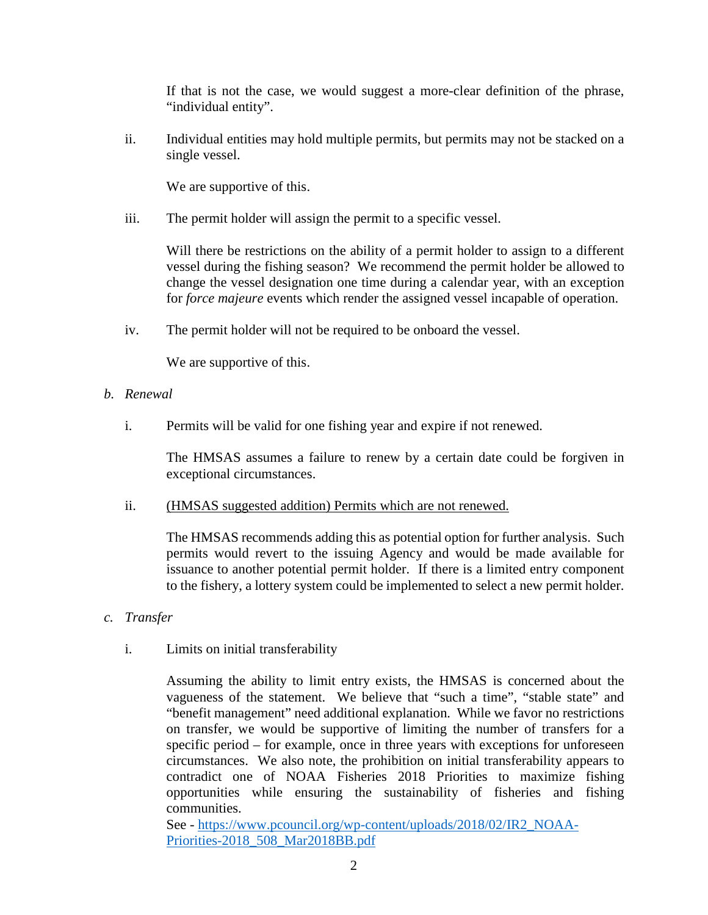If that is not the case, we would suggest a more-clear definition of the phrase, "individual entity".

ii. Individual entities may hold multiple permits, but permits may not be stacked on a single vessel.

We are supportive of this.

iii. The permit holder will assign the permit to a specific vessel.

Will there be restrictions on the ability of a permit holder to assign to a different vessel during the fishing season? We recommend the permit holder be allowed to change the vessel designation one time during a calendar year, with an exception for *force majeure* events which render the assigned vessel incapable of operation.

iv. The permit holder will not be required to be onboard the vessel.

We are supportive of this.

- *b. Renewal*
	- i. Permits will be valid for one fishing year and expire if not renewed.

The HMSAS assumes a failure to renew by a certain date could be forgiven in exceptional circumstances.

ii. (HMSAS suggested addition) Permits which are not renewed.

The HMSAS recommends adding this as potential option for further analysis. Such permits would revert to the issuing Agency and would be made available for issuance to another potential permit holder. If there is a limited entry component to the fishery, a lottery system could be implemented to select a new permit holder.

- *c. Transfer*
	- i. Limits on initial transferability

Assuming the ability to limit entry exists, the HMSAS is concerned about the vagueness of the statement. We believe that "such a time", "stable state" and "benefit management" need additional explanation. While we favor no restrictions on transfer, we would be supportive of limiting the number of transfers for a specific period – for example, once in three years with exceptions for unforeseen circumstances. We also note, the prohibition on initial transferability appears to contradict one of NOAA Fisheries 2018 Priorities to maximize fishing opportunities while ensuring the sustainability of fisheries and fishing communities.

See - [https://www.pcouncil.org/wp-content/uploads/2018/02/IR2\\_NOAA-](https://www.pcouncil.org/wp-content/uploads/2018/02/IR2_NOAA-Priorities-2018_508_Mar2018BB.pdf)[Priorities-2018\\_508\\_Mar2018BB.pdf](https://www.pcouncil.org/wp-content/uploads/2018/02/IR2_NOAA-Priorities-2018_508_Mar2018BB.pdf)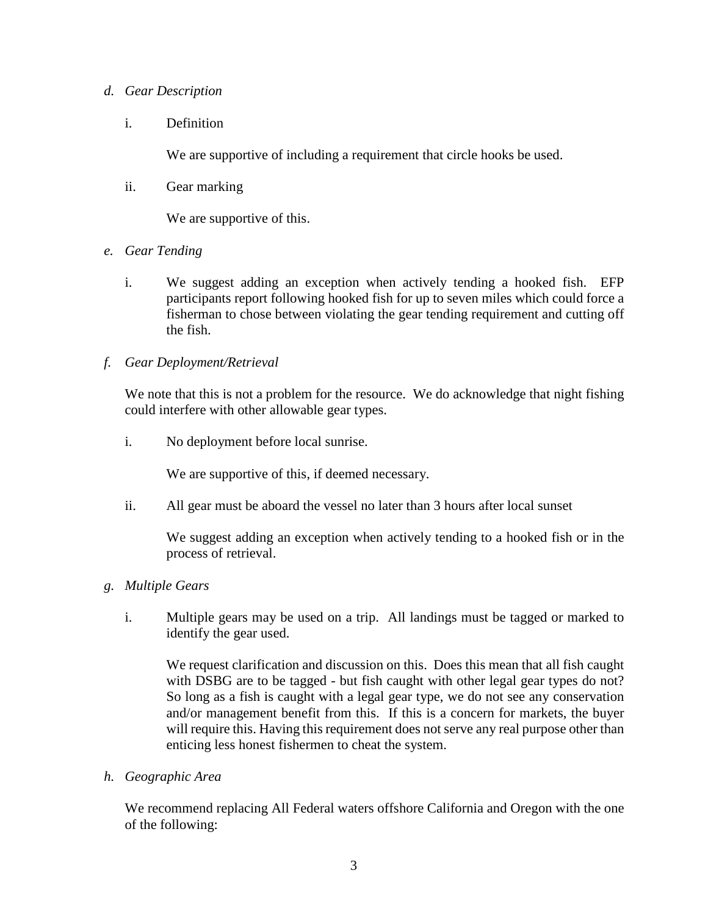## *d. Gear Description*

i. Definition

We are supportive of including a requirement that circle hooks be used.

ii. Gear marking

We are supportive of this.

- *e. Gear Tending*
	- i. We suggest adding an exception when actively tending a hooked fish. EFP participants report following hooked fish for up to seven miles which could force a fisherman to chose between violating the gear tending requirement and cutting off the fish.
- *f. Gear Deployment/Retrieval*

We note that this is not a problem for the resource. We do acknowledge that night fishing could interfere with other allowable gear types.

i. No deployment before local sunrise.

We are supportive of this, if deemed necessary.

ii. All gear must be aboard the vessel no later than 3 hours after local sunset

We suggest adding an exception when actively tending to a hooked fish or in the process of retrieval.

- *g. Multiple Gears*
	- i. Multiple gears may be used on a trip. All landings must be tagged or marked to identify the gear used.

We request clarification and discussion on this. Does this mean that all fish caught with DSBG are to be tagged - but fish caught with other legal gear types do not? So long as a fish is caught with a legal gear type, we do not see any conservation and/or management benefit from this. If this is a concern for markets, the buyer will require this. Having this requirement does not serve any real purpose other than enticing less honest fishermen to cheat the system.

*h. Geographic Area*

We recommend replacing All Federal waters offshore California and Oregon with the one of the following: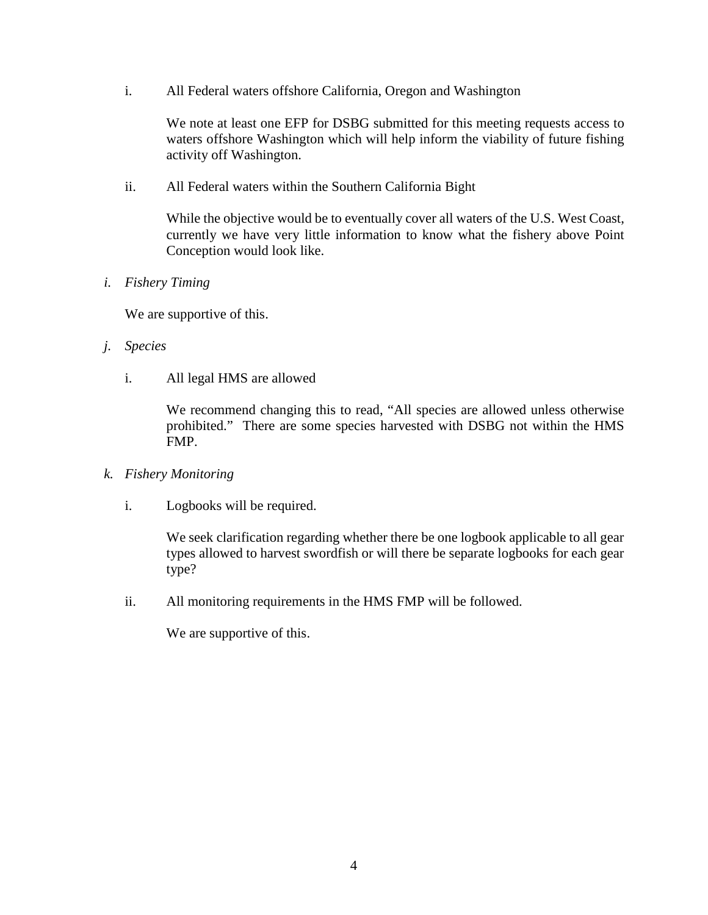i. All Federal waters offshore California, Oregon and Washington

We note at least one EFP for DSBG submitted for this meeting requests access to waters offshore Washington which will help inform the viability of future fishing activity off Washington.

ii. All Federal waters within the Southern California Bight

While the objective would be to eventually cover all waters of the U.S. West Coast, currently we have very little information to know what the fishery above Point Conception would look like.

*i. Fishery Timing*

We are supportive of this.

- *j. Species*
	- i. All legal HMS are allowed

We recommend changing this to read, "All species are allowed unless otherwise prohibited." There are some species harvested with DSBG not within the HMS FMP.

- *k. Fishery Monitoring*
	- i. Logbooks will be required.

We seek clarification regarding whether there be one logbook applicable to all gear types allowed to harvest swordfish or will there be separate logbooks for each gear type?

ii. All monitoring requirements in the HMS FMP will be followed.

We are supportive of this.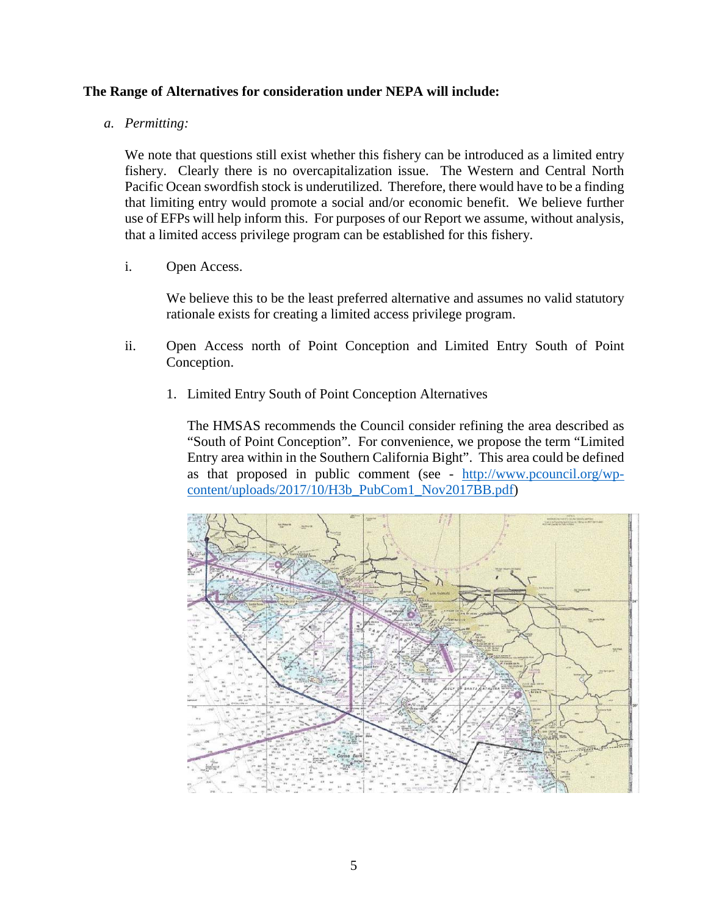## **The Range of Alternatives for consideration under NEPA will include:**

#### *a. Permitting:*

We note that questions still exist whether this fishery can be introduced as a limited entry fishery. Clearly there is no overcapitalization issue. The Western and Central North Pacific Ocean swordfish stock is underutilized. Therefore, there would have to be a finding that limiting entry would promote a social and/or economic benefit. We believe further use of EFPs will help inform this. For purposes of our Report we assume, without analysis, that a limited access privilege program can be established for this fishery.

i. Open Access.

We believe this to be the least preferred alternative and assumes no valid statutory rationale exists for creating a limited access privilege program.

- ii. Open Access north of Point Conception and Limited Entry South of Point Conception.
	- 1. Limited Entry South of Point Conception Alternatives

The HMSAS recommends the Council consider refining the area described as "South of Point Conception". For convenience, we propose the term "Limited Entry area within in the Southern California Bight". This area could be defined as that proposed in public comment (see - [http://www.pcouncil.org/wp](http://www.pcouncil.org/wp-content/uploads/2017/10/H3b_PubCom1_Nov2017BB.pdf)[content/uploads/2017/10/H3b\\_PubCom1\\_Nov2017BB.pdf\)](http://www.pcouncil.org/wp-content/uploads/2017/10/H3b_PubCom1_Nov2017BB.pdf)

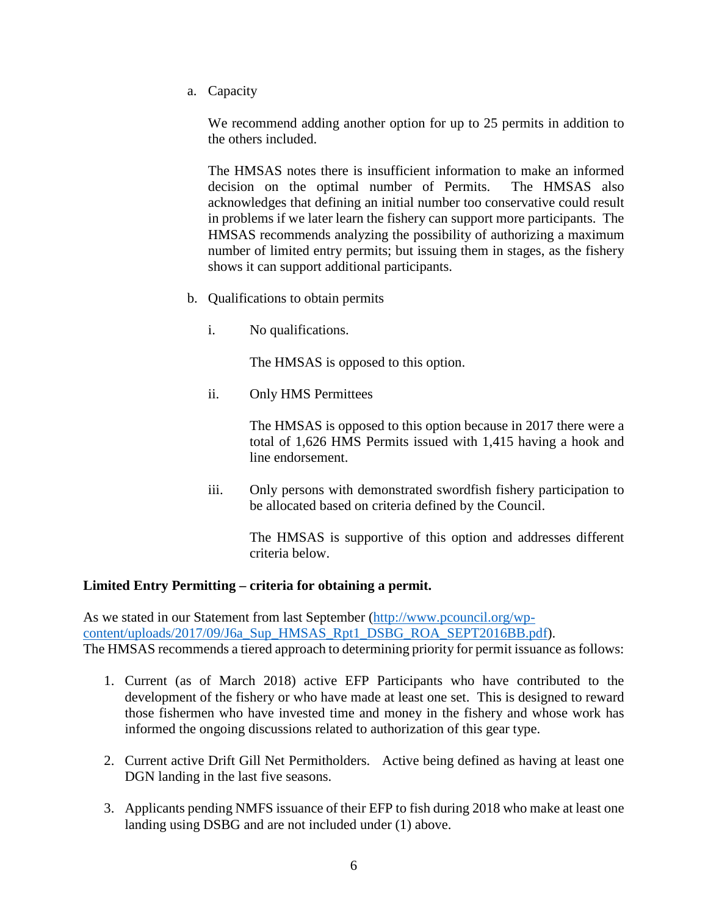a. Capacity

We recommend adding another option for up to 25 permits in addition to the others included.

The HMSAS notes there is insufficient information to make an informed decision on the optimal number of Permits. The HMSAS also acknowledges that defining an initial number too conservative could result in problems if we later learn the fishery can support more participants. The HMSAS recommends analyzing the possibility of authorizing a maximum number of limited entry permits; but issuing them in stages, as the fishery shows it can support additional participants.

- b. Qualifications to obtain permits
	- i. No qualifications.

The HMSAS is opposed to this option.

ii. Only HMS Permittees

The HMSAS is opposed to this option because in 2017 there were a total of 1,626 HMS Permits issued with 1,415 having a hook and line endorsement.

iii. Only persons with demonstrated swordfish fishery participation to be allocated based on criteria defined by the Council.

> The HMSAS is supportive of this option and addresses different criteria below.

## **Limited Entry Permitting – criteria for obtaining a permit.**

As we stated in our Statement from last September [\(http://www.pcouncil.org/wp](http://www.pcouncil.org/wp-content/uploads/2017/09/J6a_Sup_HMSAS_Rpt1_DSBG_ROA_SEPT2016BB.pdf)content/uploads/2017/09/J6a Sup\_HMSAS\_Rpt1\_DSBG\_ROA\_SEPT2016BB.pdf). The HMSAS recommends a tiered approach to determining priority for permit issuance as follows:

- 1. Current (as of March 2018) active EFP Participants who have contributed to the development of the fishery or who have made at least one set. This is designed to reward those fishermen who have invested time and money in the fishery and whose work has informed the ongoing discussions related to authorization of this gear type.
- 2. Current active Drift Gill Net Permitholders. Active being defined as having at least one DGN landing in the last five seasons.
- 3. Applicants pending NMFS issuance of their EFP to fish during 2018 who make at least one landing using DSBG and are not included under (1) above.